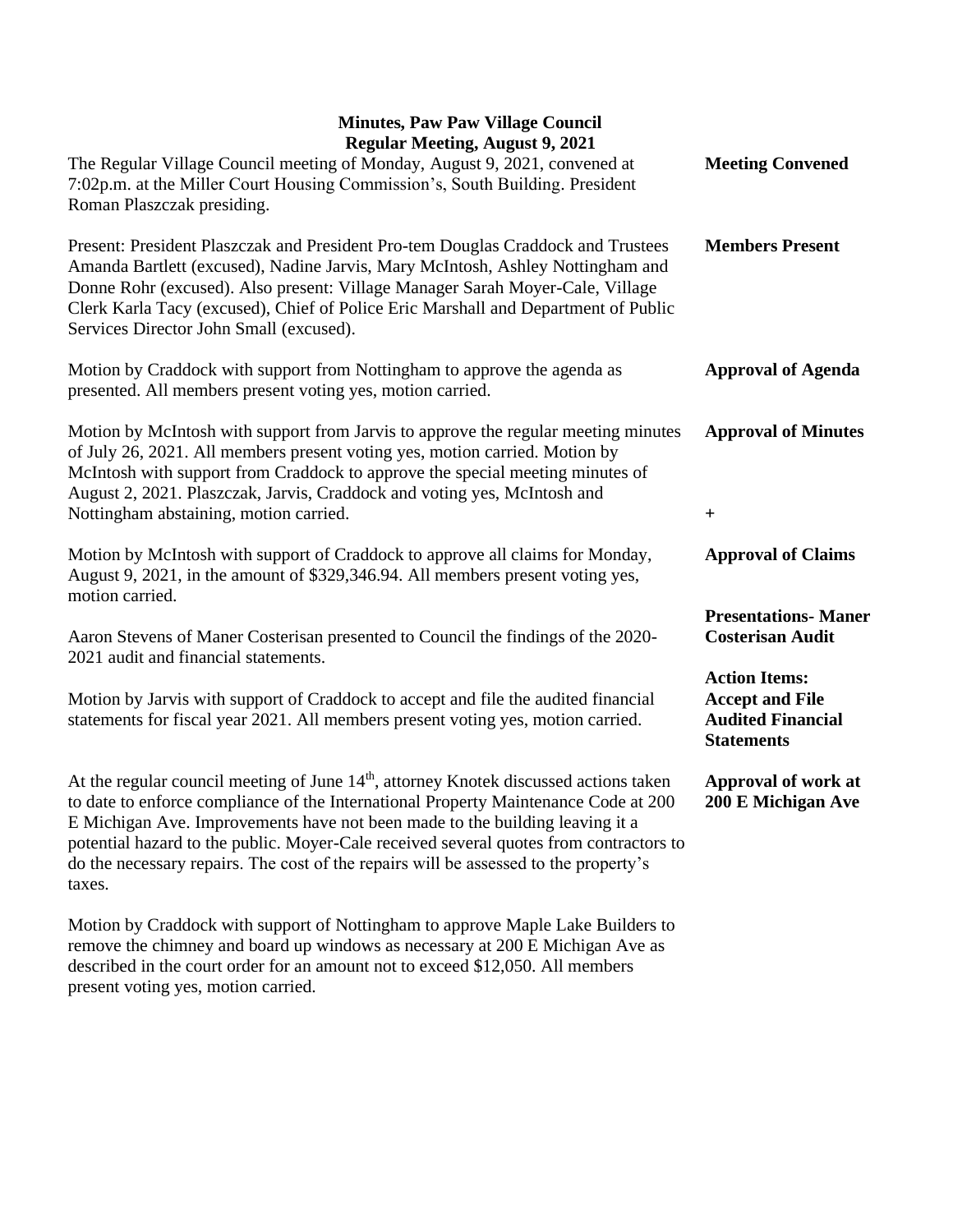## **Minutes, Paw Paw Village Council Regular Meeting, August 9, 2021**

| Regular Meeting, August 9, 2021<br>The Regular Village Council meeting of Monday, August 9, 2021, convened at<br>7:02p.m. at the Miller Court Housing Commission's, South Building. President<br>Roman Plaszczak presiding.                                                                                                                                                                                                                                          | <b>Meeting Convened</b>                                                                         |
|----------------------------------------------------------------------------------------------------------------------------------------------------------------------------------------------------------------------------------------------------------------------------------------------------------------------------------------------------------------------------------------------------------------------------------------------------------------------|-------------------------------------------------------------------------------------------------|
| Present: President Plaszczak and President Pro-tem Douglas Craddock and Trustees<br>Amanda Bartlett (excused), Nadine Jarvis, Mary McIntosh, Ashley Nottingham and<br>Donne Rohr (excused). Also present: Village Manager Sarah Moyer-Cale, Village<br>Clerk Karla Tacy (excused), Chief of Police Eric Marshall and Department of Public<br>Services Director John Small (excused).                                                                                 | <b>Members Present</b>                                                                          |
| Motion by Craddock with support from Nottingham to approve the agenda as<br>presented. All members present voting yes, motion carried.                                                                                                                                                                                                                                                                                                                               | <b>Approval of Agenda</b>                                                                       |
| Motion by McIntosh with support from Jarvis to approve the regular meeting minutes<br>of July 26, 2021. All members present voting yes, motion carried. Motion by<br>McIntosh with support from Craddock to approve the special meeting minutes of<br>August 2, 2021. Plaszczak, Jarvis, Craddock and voting yes, McIntosh and<br>Nottingham abstaining, motion carried.                                                                                             | <b>Approval of Minutes</b><br>$\boldsymbol{+}$                                                  |
|                                                                                                                                                                                                                                                                                                                                                                                                                                                                      |                                                                                                 |
| Motion by McIntosh with support of Craddock to approve all claims for Monday,<br>August 9, 2021, in the amount of \$329,346.94. All members present voting yes,<br>motion carried.                                                                                                                                                                                                                                                                                   | <b>Approval of Claims</b>                                                                       |
| Aaron Stevens of Maner Costerisan presented to Council the findings of the 2020-<br>2021 audit and financial statements.                                                                                                                                                                                                                                                                                                                                             | <b>Presentations- Maner</b><br><b>Costerisan Audit</b>                                          |
| Motion by Jarvis with support of Craddock to accept and file the audited financial<br>statements for fiscal year 2021. All members present voting yes, motion carried.                                                                                                                                                                                                                                                                                               | <b>Action Items:</b><br><b>Accept and File</b><br><b>Audited Financial</b><br><b>Statements</b> |
| At the regular council meeting of June 14 <sup>th</sup> , attorney Knotek discussed actions taken<br>to date to enforce compliance of the International Property Maintenance Code at 200<br>E Michigan Ave. Improvements have not been made to the building leaving it a<br>potential hazard to the public. Moyer-Cale received several quotes from contractors to<br>do the necessary repairs. The cost of the repairs will be assessed to the property's<br>taxes. | Approval of work at<br>200 E Michigan Ave                                                       |
| Motion by Craddock with support of Nottingham to approve Maple Lake Builders to                                                                                                                                                                                                                                                                                                                                                                                      |                                                                                                 |

remove the chimney and board up windows as necessary at 200 E Michigan Ave as described in the court order for an amount not to exceed \$12,050. All members present voting yes, motion carried.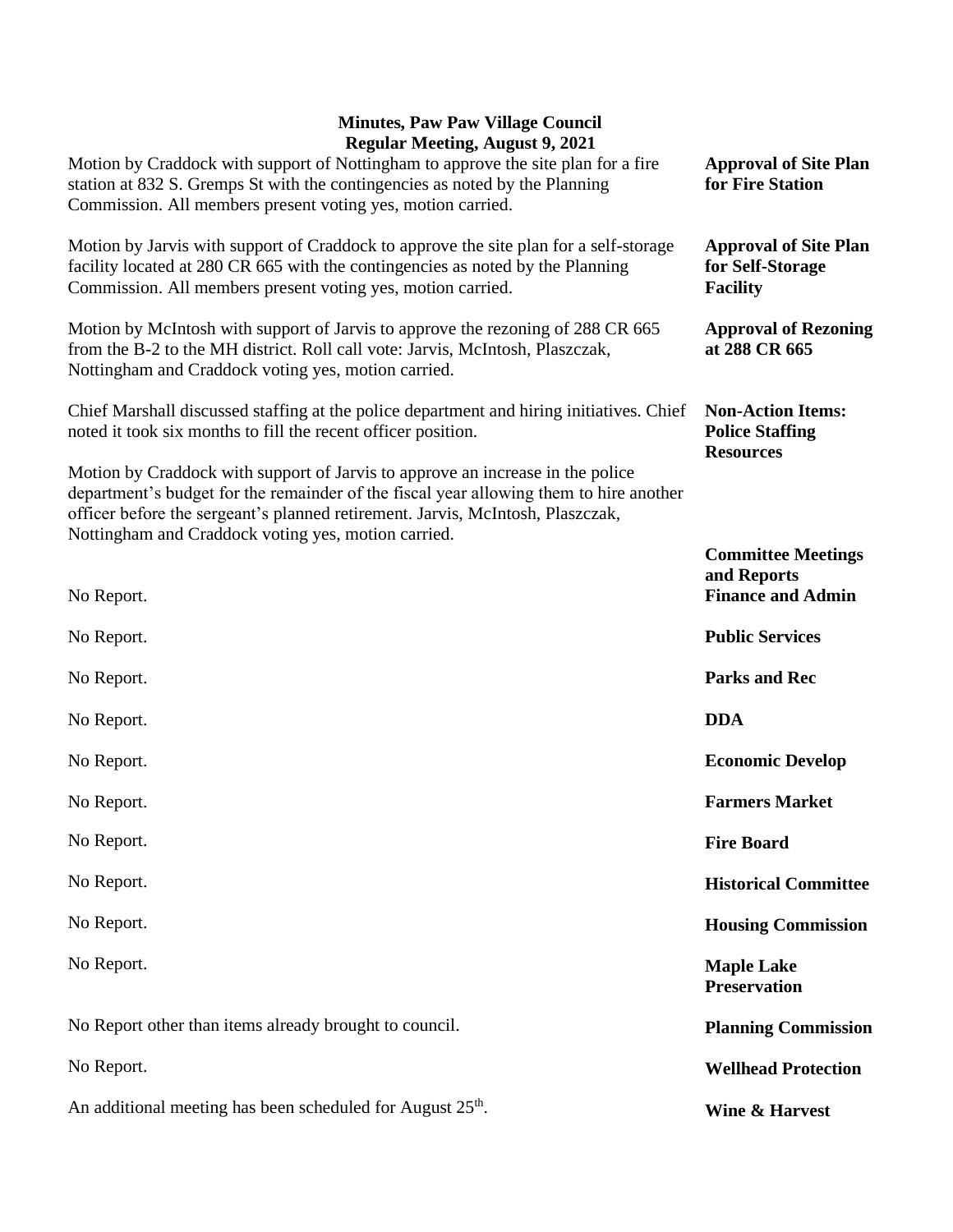## **Minutes, Paw Paw Village Council Regular Meeting, August 9, 2021**

| $\kappa$ gular Ivicculig, August 2, 2021<br>Motion by Craddock with support of Nottingham to approve the site plan for a fire<br>station at 832 S. Gremps St with the contingencies as noted by the Planning<br>Commission. All members present voting yes, motion carried.                                       | <b>Approval of Site Plan</b><br>for Fire Station                       |
|-------------------------------------------------------------------------------------------------------------------------------------------------------------------------------------------------------------------------------------------------------------------------------------------------------------------|------------------------------------------------------------------------|
| Motion by Jarvis with support of Craddock to approve the site plan for a self-storage<br>facility located at 280 CR 665 with the contingencies as noted by the Planning<br>Commission. All members present voting yes, motion carried.                                                                            | <b>Approval of Site Plan</b><br>for Self-Storage<br><b>Facility</b>    |
| Motion by McIntosh with support of Jarvis to approve the rezoning of 288 CR 665<br>from the B-2 to the MH district. Roll call vote: Jarvis, McIntosh, Plaszczak,<br>Nottingham and Craddock voting yes, motion carried.                                                                                           | <b>Approval of Rezoning</b><br>at 288 CR 665                           |
| Chief Marshall discussed staffing at the police department and hiring initiatives. Chief<br>noted it took six months to fill the recent officer position.                                                                                                                                                         | <b>Non-Action Items:</b><br><b>Police Staffing</b><br><b>Resources</b> |
| Motion by Craddock with support of Jarvis to approve an increase in the police<br>department's budget for the remainder of the fiscal year allowing them to hire another<br>officer before the sergeant's planned retirement. Jarvis, McIntosh, Plaszczak,<br>Nottingham and Craddock voting yes, motion carried. |                                                                        |
|                                                                                                                                                                                                                                                                                                                   | <b>Committee Meetings</b>                                              |
| No Report.                                                                                                                                                                                                                                                                                                        | and Reports<br><b>Finance and Admin</b>                                |
| No Report.                                                                                                                                                                                                                                                                                                        | <b>Public Services</b>                                                 |
| No Report.                                                                                                                                                                                                                                                                                                        | <b>Parks and Rec</b>                                                   |
| No Report.                                                                                                                                                                                                                                                                                                        | <b>DDA</b>                                                             |
| No Report.                                                                                                                                                                                                                                                                                                        | <b>Economic Develop</b>                                                |
| No Report.                                                                                                                                                                                                                                                                                                        | <b>Farmers Market</b>                                                  |
| No Report.                                                                                                                                                                                                                                                                                                        | <b>Fire Board</b>                                                      |
| No Report.                                                                                                                                                                                                                                                                                                        | <b>Historical Committee</b>                                            |
| No Report.                                                                                                                                                                                                                                                                                                        | <b>Housing Commission</b>                                              |
| No Report.                                                                                                                                                                                                                                                                                                        | <b>Maple Lake</b><br><b>Preservation</b>                               |
| No Report other than items already brought to council.                                                                                                                                                                                                                                                            | <b>Planning Commission</b>                                             |
| No Report.                                                                                                                                                                                                                                                                                                        | <b>Wellhead Protection</b>                                             |
| An additional meeting has been scheduled for August 25 <sup>th</sup> .                                                                                                                                                                                                                                            | Wine & Harvest                                                         |